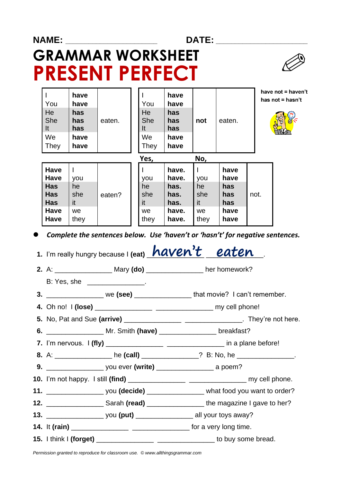## **NAME: \_\_\_\_\_\_\_\_\_\_\_\_\_\_\_\_\_\_\_\_\_\_\_\_ DATE: \_\_\_\_\_\_\_\_\_\_\_\_\_\_\_\_\_\_\_\_\_\_\_\_ GRAMMAR WORKSHEET PRESENT PERFECT**



| You<br>He<br><b>She</b><br>It<br>We<br>They | have<br>have<br>has<br>has<br>has<br>have<br>have | eaten. | You<br>He<br><b>She</b><br>It<br>We<br>They | have<br>have<br>has<br>has<br>has<br>have<br>have | not                      | eaten.                     |      | have not = haven't<br>has not $=$ hasn't |
|---------------------------------------------|---------------------------------------------------|--------|---------------------------------------------|---------------------------------------------------|--------------------------|----------------------------|------|------------------------------------------|
| <b>Have</b><br><b>Have</b><br><b>Has</b>    | you<br>he                                         |        | Yes,<br>you<br>he                           | have.<br>have.<br>has.                            | No,<br>you<br>he         | have<br>have<br>has        |      |                                          |
| Has<br><b>Has</b><br>Have<br><b>Have</b>    | she<br>it<br>we.<br>they                          | eaten? | she<br>it<br>we<br>they                     | has.<br>has.<br>have.<br>have.                    | she<br>it<br>we.<br>they | has<br>has<br>have<br>have | not. |                                          |

⚫ *Complete the sentences below. Use 'haven't or 'hasn't' for negative sentences.*

1. I'm really hungry because I (eat) **haven't** eaten  **2.** A: \_\_\_\_\_\_\_\_\_\_\_\_\_\_\_ Mary **(do)** \_\_\_\_\_\_\_\_\_\_\_\_\_\_\_ her homework? B: Yes, she the control of the control of the control of the control of the control of the control of the control of the control of the control of the control of the control of the control of the control of the control of  **3.** \_\_\_\_\_\_\_\_\_\_\_\_\_\_\_ we **(see)** \_\_\_\_\_\_\_\_\_\_\_\_\_\_\_ that movie? I can't remember.  **4.** Oh no! I **(lose)** \_\_\_\_\_\_\_\_\_\_\_\_\_\_\_ \_\_\_\_\_\_\_\_\_\_\_\_\_\_\_ my cell phone!  **5.** No, Pat and Sue **(arrive)** \_\_\_\_\_\_\_\_\_\_\_\_\_\_\_ \_\_\_\_\_\_\_\_\_\_\_\_\_\_\_. They're not here.  **6.** \_\_\_\_\_\_\_\_\_\_\_\_\_\_\_ Mr. Smith **(have)** \_\_\_\_\_\_\_\_\_\_\_\_\_\_\_ breakfast?  **7.** I'm nervous. I **(fly)** \_\_\_\_\_\_\_\_\_\_\_\_\_\_\_ \_\_\_\_\_\_\_\_\_\_\_\_\_\_\_ in a plane before! **8.** A: **he (call) be a call he (call) 2.** B: No, he  $\cdot$  **b 9. b** you ever **(write) a** poem? **10.** I'm not happy. I still **(find)** \_\_\_\_\_\_\_\_\_\_\_\_\_\_\_ \_\_\_\_\_\_\_\_\_\_\_\_\_\_\_ my cell phone. **11. 11. 11. 11. 11. 11. 11. 11. 11. 11. 11. 11. 11. 11. 11. 11. 11. 11. 11. 11. 11. 11. 11. 11. 11. 11. 11. 11. 11. 11. 11. 11. 11. 11. 11. 11. 11. 12.** Sarah **(read) 12.** Sarah **(read) 12. 12. 12. 12. 12. 12. 12. 12. 12. 12. 12. 12. 12. 12. 12. 12. 12. 12. 12. 12. 12. 12. 12. 12. 12. 12. 12. 12. 12. 12. 13.** \_\_\_\_\_\_\_\_\_\_\_\_\_\_\_ you **(put)** \_\_\_\_\_\_\_\_\_\_\_\_\_\_\_ all your toys away? **14.** It **(rain)** \_\_\_\_\_\_\_\_\_\_\_\_\_\_\_ \_\_\_\_\_\_\_\_\_\_\_\_\_\_\_ for a very long time. **15.** I think I **(forget) 15.** I think I **(forget) 15.** I think I **(forget) 15.** I think I **i** 

*Permission granted to reproduce for classroom use. © www.allthingsgrammar.com*